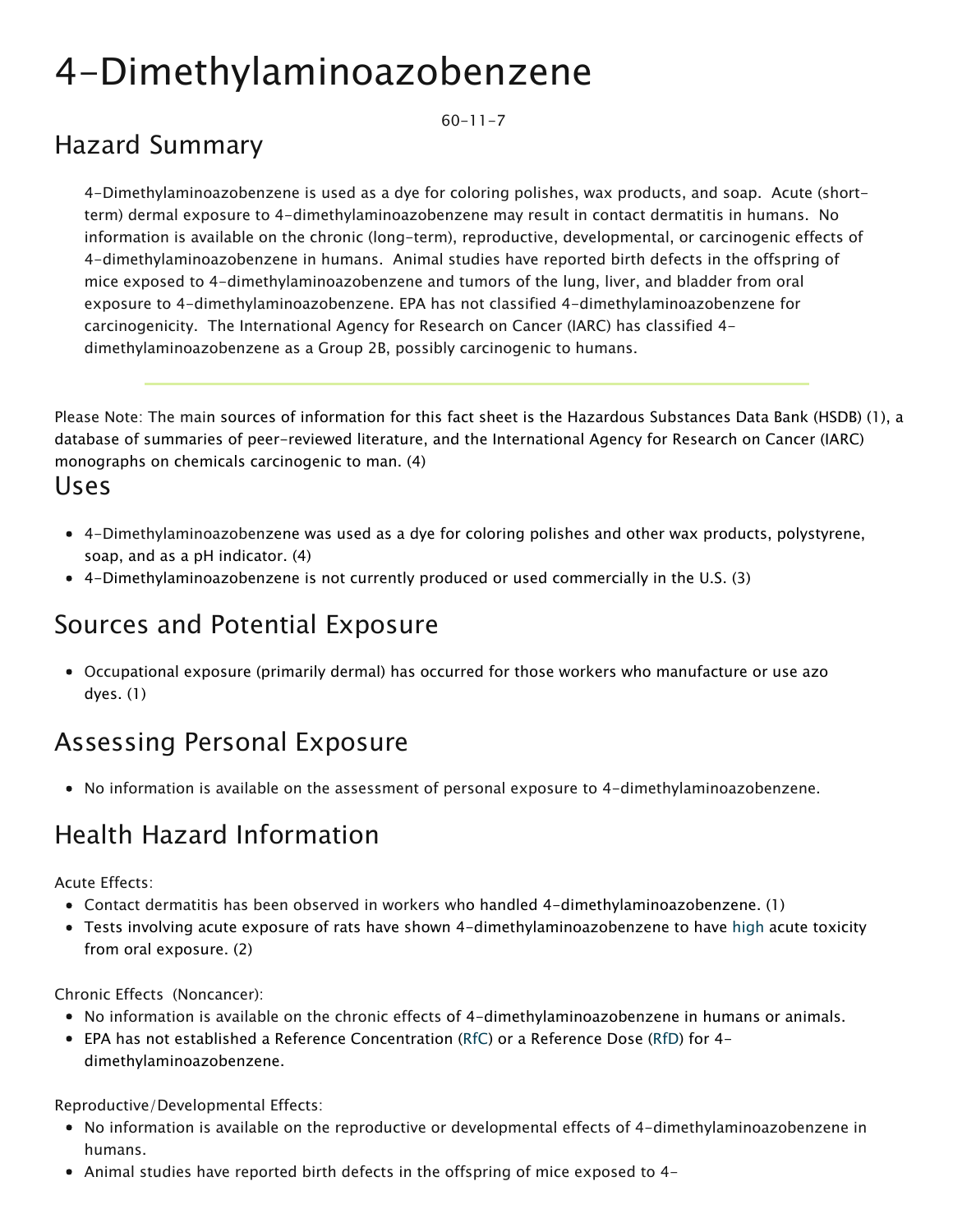# 4-Dimethylaminoazobenzene

 $60-11-7$ 

### Hazard Summary

4-Dimethylaminoazobenzene is used as a dye for coloring polishes, wax products, and soap. Acute (shortterm) dermal exposure to 4-dimethylaminoazobenzene may result in contact dermatitis in humans. No information is available on the chronic (long-term), reproductive, developmental, or carcinogenic effects of 4-dimethylaminoazobenzene in humans. Animal studies have reported birth defects in the offspring of mice exposed to 4-dimethylaminoazobenzene and tumors of the lung, liver, and bladder from oral exposure to 4-dimethylaminoazobenzene. EPA has not classified 4-dimethylaminoazobenzene for carcinogenicity. The International Agency for Research on Cancer (IARC) has classified 4 dimethylaminoazobenzene as a Group 2B, possibly carcinogenic to humans.

Please Note: The main sources of information for this fact sheet is the Hazardous Substances Data Bank (HSDB) (1), a database of summaries of peer-reviewed literature, and the International Agency for Research on Cancer (IARC) monographs on chemicals carcinogenic to man. (4)

#### Uses

- 4-Dimethylaminoazobenzene was used as a dye for coloring polishes and other wax products, polystyrene, soap, and as a pH indicator. (4)
- 4-Dimethylaminoazobenzene is not currently produced or used commercially in the U.S. (3)

#### Sources and Potential Exposure

Occupational exposure (primarily dermal) has occurred for those workers who manufacture or use azo dyes. (1)

#### Assessing Personal Exposure

• No information is available on the assessment of personal exposure to 4-dimethylaminoazobenzene.

### Health Hazard Information

Acute Effects:

- Contact dermatitis has been observed in workers who handled 4-dimethylaminoazobenzene. (1)
- Tests involving acute exposure of rats have shown 4-dimethylaminoazobenzene to have [high](https://www.epa.gov/haps/about-health-effects-fact-sheets) acute toxicity from oral exposure. (2)

Chronic Effects (Noncancer):

- No information is available on the chronic effects of 4-dimethylaminoazobenzene in humans or animals.
- EPA has not established a Reference Concentration ([RfC\)](https://www.epa.gov/haps/health-effects-notebook-glossary) or a Reference Dose ([RfD](https://www.epa.gov/haps/health-effects-notebook-glossary)) for 4 dimethylaminoazobenzene.

Reproductive/Developmental Effects:

- No information is available on the reproductive or developmental effects of 4-dimethylaminoazobenzene in humans.
- Animal studies have reported birth defects in the offspring of mice exposed to 4-